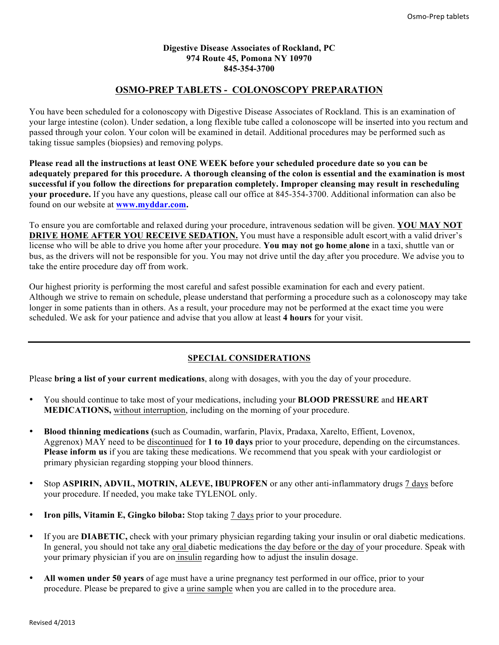#### **Digestive Disease Associates of Rockland, PC 974 Route 45, Pomona NY 10970 845-354-3700**

# **OSMO-PREP TABLETS - COLONOSCOPY PREPARATION**

You have been scheduled for a colonoscopy with Digestive Disease Associates of Rockland. This is an examination of your large intestine (colon). Under sedation, a long flexible tube called a colonoscope will be inserted into you rectum and passed through your colon. Your colon will be examined in detail. Additional procedures may be performed such as taking tissue samples (biopsies) and removing polyps.

**Please read all the instructions at least ONE WEEK before your scheduled procedure date so you can be adequately prepared for this procedure. A thorough cleansing of the colon is essential and the examination is most successful if you follow the directions for preparation completely. Improper cleansing may result in rescheduling your procedure.** If you have any questions, please call our office at 845-354-3700. Additional information can also be found on our website at **www.myddar.com.**

To ensure you are comfortable and relaxed during your procedure, intravenous sedation will be given. **YOU MAY NOT DRIVE HOME AFTER YOU RECEIVE SEDATION.** You must have a responsible adult escort with a valid driver's license who will be able to drive you home after your procedure. **You may not go home alone** in a taxi, shuttle van or bus, as the drivers will not be responsible for you. You may not drive until the day after you procedure. We advise you to take the entire procedure day off from work.

Our highest priority is performing the most careful and safest possible examination for each and every patient. Although we strive to remain on schedule, please understand that performing a procedure such as a colonoscopy may take longer in some patients than in others. As a result, your procedure may not be performed at the exact time you were scheduled. We ask for your patience and advise that you allow at least **4 hours** for your visit.

# **SPECIAL CONSIDERATIONS**

Please **bring a list of your current medications**, along with dosages, with you the day of your procedure.

- You should continue to take most of your medications, including your **BLOOD PRESSURE** and **HEART MEDICATIONS,** without interruption, including on the morning of your procedure.
- **Blood thinning medications (**such as Coumadin, warfarin, Plavix, Pradaxa, Xarelto, Effient, Lovenox, Aggrenox) MAY need to be discontinued for **1 to 10 days** prior to your procedure, depending on the circumstances. **Please inform us** if you are taking these medications. We recommend that you speak with your cardiologist or primary physician regarding stopping your blood thinners.
- Stop **ASPIRIN, ADVIL, MOTRIN, ALEVE, IBUPROFEN** or any other anti-inflammatory drugs 7 days before your procedure. If needed, you make take TYLENOL only.
- **Iron pills, Vitamin E, Gingko biloba:** Stop taking 7 days prior to your procedure.
- If you are **DIABETIC,** check with your primary physician regarding taking your insulin or oral diabetic medications. In general, you should not take any oral diabetic medications the day before or the day of your procedure. Speak with your primary physician if you are on insulin regarding how to adjust the insulin dosage.
- **All women under 50 years** of age must have a urine pregnancy test performed in our office, prior to your procedure. Please be prepared to give a urine sample when you are called in to the procedure area.